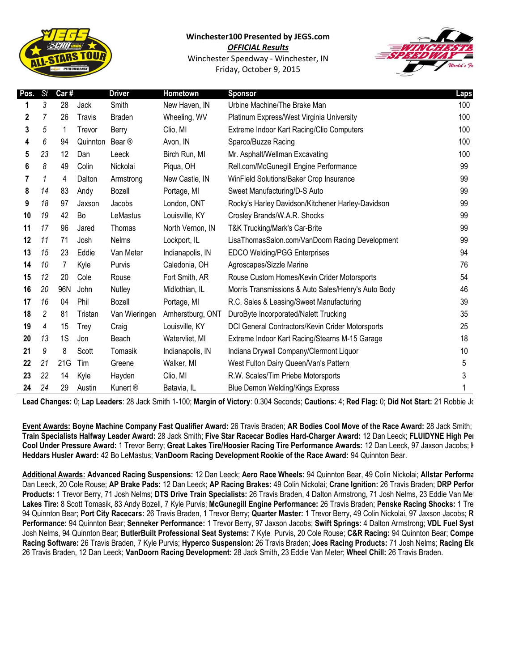

## **Winchester100 Presented by JEGS.com**

*OFFICIAL Results* Winchester Speedway - Winchester, IN

Friday, October 9, 2015



| Pos. | <b>St</b>      | Car# |               | <b>Driver</b>       | Hometown         | <b>Sponsor</b>                                      | Laps |
|------|----------------|------|---------------|---------------------|------------------|-----------------------------------------------------|------|
|      | 3              | 28   | Jack          | Smith               | New Haven, IN    | Urbine Machine/The Brake Man                        | 100  |
| 2    | $\overline{7}$ | 26   | <b>Travis</b> | <b>Braden</b>       | Wheeling, WV     | Platinum Express/West Virginia University           | 100  |
| 3    | 5              | 1    | Trevor        | Berry               | Clio, MI         | Extreme Indoor Kart Racing/Clio Computers           | 100  |
| 4    | 6              | 94   | Quinnton      | Bear ®              | Avon, IN         | Sparco/Buzze Racing                                 | 100  |
| 5    | 23             | 12   | Dan           | Leeck               | Birch Run, MI    | Mr. Asphalt/Wellman Excavating                      | 100  |
| 6    | 8              | 49   | Colin         | Nickolai            | Piqua, OH        | Rell.com/McGunegill Engine Performance              | 99   |
| 7    | 1              | 4    | Dalton        | Armstrong           | New Castle, IN   | WinField Solutions/Baker Crop Insurance             | 99   |
| 8    | 14             | 83   | Andy          | Bozell              | Portage, MI      | Sweet Manufacturing/D-S Auto                        | 99   |
| 9    | 18             | 97   | Jaxson        | Jacobs              | London, ONT      | Rocky's Harley Davidson/Kitchener Harley-Davidson   | 99   |
| 10   | 19             | 42   | Bo            | LeMastus            | Louisville, KY   | Crosley Brands/W.A.R. Shocks                        | 99   |
| 11   | 17             | 96   | Jared         | Thomas              | North Vernon, IN | T&K Trucking/Mark's Car-Brite                       | 99   |
| 12   | 11             | 71   | Josh          | <b>Nelms</b>        | Lockport, IL     | LisaThomasSalon.com/VanDoorn Racing Development     | 99   |
| 13   | 15             | 23   | Eddie         | Van Meter           | Indianapolis, IN | <b>EDCO Welding/PGG Enterprises</b>                 | 94   |
| 14   | 10             | 7    | Kyle          | Purvis              | Caledonia, OH    | Agroscapes/Sizzle Marine                            | 76   |
| 15   | 12             | 20   | Cole          | Rouse               | Fort Smith, AR   | Rouse Custom Homes/Kevin Crider Motorsports         | 54   |
| 16   | 20             | 96N  | John          | Nutley              | Midlothian, IL   | Morris Transmissions & Auto Sales/Henry's Auto Body | 46   |
| 17   | 16             | 04   | Phil          | Bozell              | Portage, MI      | R.C. Sales & Leasing/Sweet Manufacturing            | 39   |
| 18   | $\overline{c}$ | 81   | Tristan       | Van Wieringen       | Amherstburg, ONT | DuroByte Incorporated/Nalett Trucking               | 35   |
| 19   | 4              | 15   | Trey          | Craig               | Louisville, KY   | DCI General Contractors/Kevin Crider Motorsports    | 25   |
| 20   | 13             | 1S   | Jon           | Beach               | Watervliet, MI   | Extreme Indoor Kart Racing/Stearns M-15 Garage      | 18   |
| 21   | 9              | 8    | Scott         | Tomasik             | Indianapolis, IN | Indiana Drywall Company/Clermont Liquor             | 10   |
| 22   | 21             | 21G  | Tim           | Greene              | Walker, MI       | West Fulton Dairy Queen/Van's Pattern               | 5    |
| 23   | 22             | 14   | Kyle          | Hayden              | Clio, MI         | R.W. Scales/Tim Priebe Motorsports                  | 3    |
| 24   | 24             | 29   | Austin        | Kunert <sup>®</sup> | Batavia, IL      | <b>Blue Demon Welding/Kings Express</b>             |      |

Lead Changes: 0; Lap Leaders: 28 Jack Smith 1-100; Margin of Victory: 0.304 Seconds; Cautions: 4; Red Flag: 0; Did Not Start: 21 Robbie Johnson

Event Awards: Boyne Machine Company Fast Qualifier Award: 26 Travis Braden; AR Bodies Cool Move of the Race Award: 28 Jack Smith; **Train Specialists Halfway Leader Award:** 28 Jack Smith; **Five Star Racecar Bodies Hard-Charger Award:** 12 Dan Leeck; **FLUIDYNE High Performance Cool Under Pressure Award:** 1 Trevor Berry; **Great Lakes Tire/Hoosier Racing Tire Performance Awards:** 12 Dan Leeck, 97 Jaxson Jacobs; **Hedman Heddars Husler Award:** 42 Bo LeMastus; **VanDoorn Racing Development Rookie of the Race Award:** 94 Quinnton Bear.

**Additional Awards: Advanced Racing Suspensions:** 12 Dan Leeck; **Aero Race Wheels:** 94 Quinnton Bear, 49 Colin Nickolai; **Allstar Performance:**  Dan Leeck, 20 Cole Rouse; **AP Brake Pads:** 12 Dan Leeck; **AP Racing Brakes:** 49 Colin Nickolai; **Crane Ignition:** 26 Travis Braden; **DRP Performance**  Products: 1 Trevor Berry, 71 Josh Nelms; DTS Drive Train Specialists: 26 Travis Braden, 4 Dalton Armstrong, 71 Josh Nelms, 23 Eddie Van Meter; Lakes Tire: 8 Scott Tomasik, 83 Andy Bozell, 7 Kyle Purvis; McGunegill Engine Performance: 26 Travis Braden; Penske Racing Shocks: 1 Tre 94 Quinnton Bear; Port City Racecars: 26 Travis Braden, 1 Trevor Berry; Quarter Master: 1 Trevor Berry, 49 Colin Nickolai, 97 Jaxson Jacobs; R **Performance:** 94 Quinnton Bear; **Senneker Performance:** 1 Trevor Berry, 97 Jaxson Jacobs; **Swift Springs:** 4 Dalton Armstrong; **VDL Fuel Systems:**  Josh Nelms, 94 Quinnton Bear; ButlerBuilt Professional Seat Systems: 7 Kyle Purvis, 20 Cole Rouse; C&R Racing: 94 Quinnton Bear; Compe **Racing Software:** 26 Travis Braden, 7 Kyle Purvis; **Hyperco Suspension:** 26 Travis Braden; **Joes Racing Products:** 71 Josh Nelms; **Racing Electronics:**  26 Travis Braden, 12 Dan Leeck; **VanDoorn Racing Development:** 28 Jack Smith, 23 Eddie Van Meter; **Wheel Chill:** 26 Travis Braden.